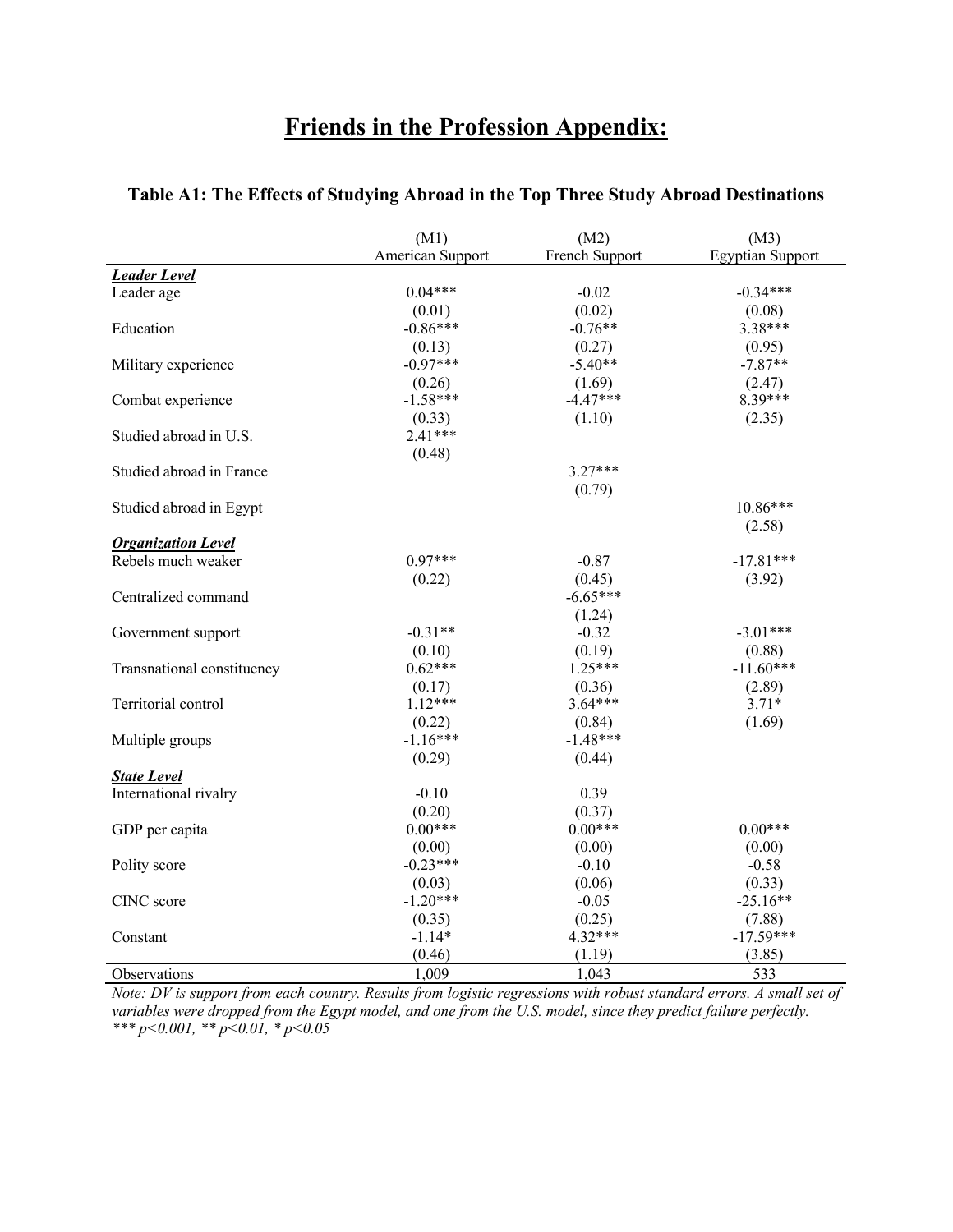# **Friends in the Profession Appendix:**

|                            | (M1)             | (M2)           | (M3)                    |
|----------------------------|------------------|----------------|-------------------------|
|                            | American Support | French Support | <b>Egyptian Support</b> |
| <b>Leader Level</b>        |                  |                |                         |
| Leader age                 | $0.04***$        | $-0.02$        | $-0.34***$              |
|                            | (0.01)           | (0.02)         | (0.08)                  |
| Education                  | $-0.86***$       | $-0.76**$      | 3.38***                 |
|                            | (0.13)           | (0.27)         | (0.95)                  |
| Military experience        | $-0.97***$       | $-5.40**$      | $-7.87**$               |
|                            | (0.26)           | (1.69)         | (2.47)                  |
| Combat experience          | $-1.58***$       | $-4.47***$     | 8.39***                 |
|                            | (0.33)           | (1.10)         | (2.35)                  |
| Studied abroad in U.S.     | $2.41***$        |                |                         |
|                            | (0.48)           |                |                         |
| Studied abroad in France   |                  | $3.27***$      |                         |
|                            |                  | (0.79)         |                         |
| Studied abroad in Egypt    |                  |                | 10.86***                |
|                            |                  |                | (2.58)                  |
| <b>Organization Level</b>  |                  |                |                         |
| Rebels much weaker         | $0.97***$        | $-0.87$        | $-17.81***$             |
|                            | (0.22)           | (0.45)         | (3.92)                  |
| Centralized command        |                  | $-6.65***$     |                         |
|                            |                  | (1.24)         |                         |
| Government support         | $-0.31**$        | $-0.32$        | $-3.01***$              |
|                            | (0.10)           | (0.19)         | (0.88)                  |
| Transnational constituency | $0.62***$        | $1.25***$      | $-11.60***$             |
|                            | (0.17)           | (0.36)         | (2.89)                  |
| Territorial control        | $1.12***$        | $3.64***$      | $3.71*$                 |
|                            | (0.22)           | (0.84)         | (1.69)                  |
| Multiple groups            | $-1.16***$       | $-1.48***$     |                         |
|                            | (0.29)           | (0.44)         |                         |
| <b>State Level</b>         |                  |                |                         |
| International rivalry      | $-0.10$          | 0.39           |                         |
|                            | (0.20)           | (0.37)         |                         |
| GDP per capita             | $0.00***$        | $0.00***$      | $0.00***$               |
|                            | (0.00)           | (0.00)         | (0.00)                  |
| Polity score               | $-0.23***$       | $-0.10$        | $-0.58$                 |
|                            | (0.03)           | (0.06)         | (0.33)                  |
| CINC score                 | $-1.20***$       | $-0.05$        | $-25.16**$              |
|                            | (0.35)           | (0.25)         | (7.88)                  |
| Constant                   | $-1.14*$         | $4.32***$      | $-17.59***$             |
|                            | (0.46)           | (1.19)         | (3.85)                  |
| Observations               | 1,009            | 1,043          | 533                     |

#### **Table A1: The Effects of Studying Abroad in the Top Three Study Abroad Destinations**

*Note: DV is support from each country. Results from logistic regressions with robust standard errors. A small set of variables were dropped from the Egypt model, and one from the U.S. model, since they predict failure perfectly. \*\*\* p<0.001, \*\* p<0.01, \* p<0.05*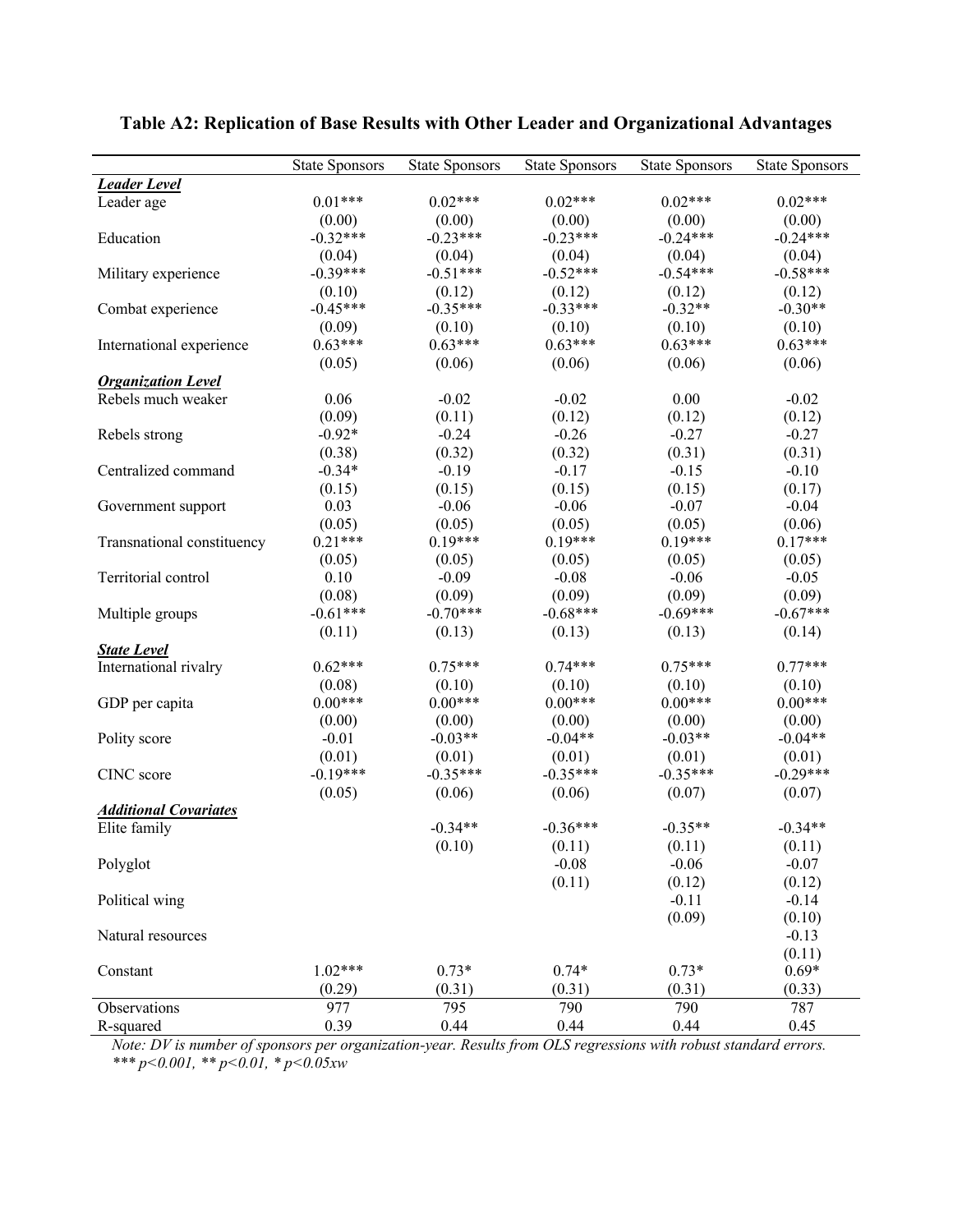|                              | <b>State Sponsors</b> | <b>State Sponsors</b> | <b>State Sponsors</b> | <b>State Sponsors</b> | <b>State Sponsors</b> |
|------------------------------|-----------------------|-----------------------|-----------------------|-----------------------|-----------------------|
| <b>Leader Level</b>          |                       |                       |                       |                       |                       |
| Leader age                   | $0.01***$             | $0.02***$             | $0.02***$             | $0.02***$             | $0.02***$             |
|                              | (0.00)                | (0.00)                | (0.00)                | (0.00)                | (0.00)                |
| Education                    | $-0.32***$            | $-0.23***$            | $-0.23***$            | $-0.24***$            | $-0.24***$            |
|                              | (0.04)                | (0.04)                | (0.04)                | (0.04)                | (0.04)                |
| Military experience          | $-0.39***$            | $-0.51***$            | $-0.52***$            | $-0.54***$            | $-0.58***$            |
|                              | (0.10)                | (0.12)                | (0.12)                | (0.12)                | (0.12)                |
| Combat experience            | $-0.45***$            | $-0.35***$            | $-0.33***$            | $-0.32**$             | $-0.30**$             |
|                              | (0.09)                | (0.10)                | (0.10)                | (0.10)                | (0.10)                |
| International experience     | $0.63***$             | $0.63***$             | $0.63***$             | $0.63***$             | $0.63***$             |
|                              | (0.05)                | (0.06)                | (0.06)                | (0.06)                | (0.06)                |
| <b>Organization Level</b>    |                       |                       |                       |                       |                       |
| Rebels much weaker           | 0.06                  | $-0.02$               | $-0.02$               | 0.00                  | $-0.02$               |
|                              | (0.09)                | (0.11)                | (0.12)                | (0.12)                | (0.12)                |
| Rebels strong                | $-0.92*$              | $-0.24$               | $-0.26$               | $-0.27$               | $-0.27$               |
|                              | (0.38)                | (0.32)                | (0.32)                | (0.31)                | (0.31)                |
| Centralized command          | $-0.34*$              | $-0.19$               | $-0.17$               | $-0.15$               | $-0.10$               |
|                              | (0.15)                | (0.15)                | (0.15)                | (0.15)                | (0.17)                |
| Government support           | 0.03                  | $-0.06$               | $-0.06$               | $-0.07$               | $-0.04$               |
|                              | (0.05)                | (0.05)                | (0.05)                | (0.05)                | (0.06)                |
| Transnational constituency   | $0.21***$             | $0.19***$             | $0.19***$             | $0.19***$             | $0.17***$             |
|                              | (0.05)                | (0.05)                | (0.05)                | (0.05)                | (0.05)                |
| Territorial control          | 0.10                  | $-0.09$               | $-0.08$               | $-0.06$               | $-0.05$               |
|                              | (0.08)                | (0.09)                | (0.09)                | (0.09)                | (0.09)                |
| Multiple groups              | $-0.61***$            | $-0.70***$            | $-0.68***$            | $-0.69***$            | $-0.67***$            |
|                              | (0.11)                | (0.13)                | (0.13)                | (0.13)                | (0.14)                |
| <b>State Level</b>           |                       |                       |                       |                       |                       |
| International rivalry        | $0.62***$             | $0.75***$             | $0.74***$             | $0.75***$             | $0.77***$             |
|                              | (0.08)                | (0.10)                | (0.10)                | (0.10)                | (0.10)                |
| GDP per capita               | $0.00***$             | $0.00***$             | $0.00***$             | $0.00***$             | $0.00***$             |
|                              | (0.00)                | (0.00)                | (0.00)                | (0.00)                | (0.00)                |
| Polity score                 | $-0.01$               | $-0.03**$             | $-0.04**$             | $-0.03**$             | $-0.04**$             |
|                              | (0.01)                | (0.01)                | (0.01)                | (0.01)                | (0.01)                |
| CINC score                   | $-0.19***$            | $-0.35***$            | $-0.35***$            | $-0.35***$            | $-0.29***$            |
|                              | (0.05)                | (0.06)                | (0.06)                | (0.07)                | (0.07)                |
| <b>Additional Covariates</b> |                       |                       |                       |                       |                       |
| Elite family                 |                       | $-0.34**$             | $-0.36***$            | $-0.35**$             | $-0.34**$             |
|                              |                       | (0.10)                | (0.11)                | (0.11)                | (0.11)                |
| Polyglot                     |                       |                       | $-0.08$               | $-0.06$               | $-0.07$               |
|                              |                       |                       | (0.11)                | (0.12)                | (0.12)                |
| Political wing               |                       |                       |                       | $-0.11$               | $-0.14$               |
|                              |                       |                       |                       | (0.09)                | (0.10)                |
| Natural resources            |                       |                       |                       |                       | $-0.13$               |
|                              |                       |                       |                       |                       | (0.11)                |
| Constant                     | $1.02***$             | $0.73*$               | $0.74*$               | $0.73*$               | $0.69*$               |
|                              | (0.29)                | (0.31)                | (0.31)                | (0.31)                | (0.33)                |
| Observations                 | 977                   | 795                   | 790                   | 790                   | 787                   |
| R-squared                    | 0.39                  | 0.44                  | 0.44                  | 0.44                  | 0.45                  |

## **Table A2: Replication of Base Results with Other Leader and Organizational Advantages**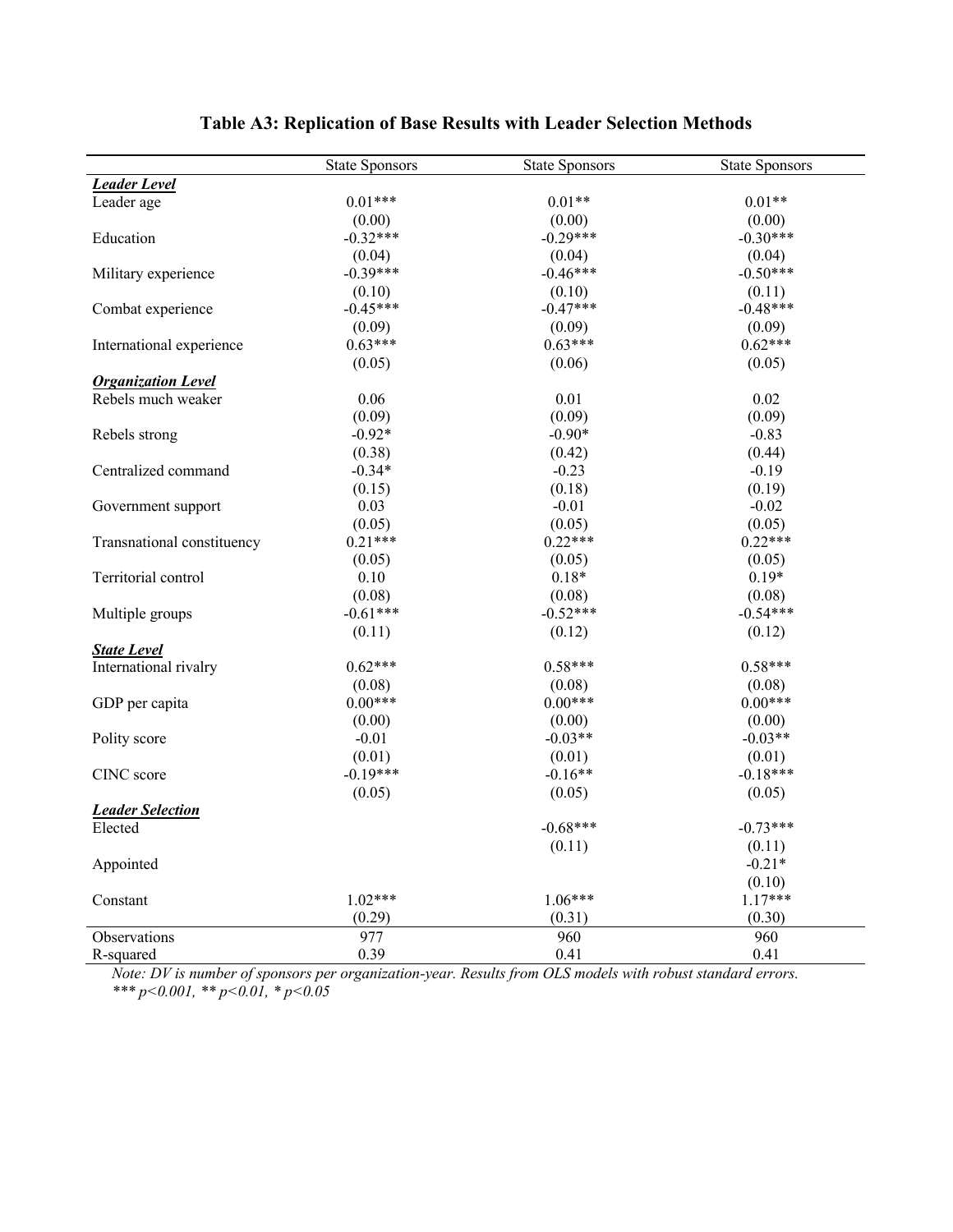|                            | <b>State Sponsors</b> | <b>State Sponsors</b> | <b>State Sponsors</b> |
|----------------------------|-----------------------|-----------------------|-----------------------|
| <b>Leader Level</b>        |                       |                       |                       |
| Leader age                 | $0.01***$             | $0.01**$              | $0.01**$              |
|                            | (0.00)                | (0.00)                | (0.00)                |
| Education                  | $-0.32***$            | $-0.29***$            | $-0.30***$            |
|                            | (0.04)                | (0.04)                | (0.04)                |
| Military experience        | $-0.39***$            | $-0.46***$            | $-0.50***$            |
|                            | (0.10)                | (0.10)                | (0.11)                |
| Combat experience          | $-0.45***$            | $-0.47***$            | $-0.48***$            |
|                            | (0.09)                | (0.09)                | (0.09)                |
| International experience   | $0.63***$             | $0.63***$             | $0.62***$             |
|                            | (0.05)                | (0.06)                | (0.05)                |
| <b>Organization Level</b>  |                       |                       |                       |
| Rebels much weaker         | 0.06                  | 0.01                  | 0.02                  |
|                            | (0.09)                | (0.09)                | (0.09)                |
| Rebels strong              | $-0.92*$              | $-0.90*$              | $-0.83$               |
|                            | (0.38)                | (0.42)                | (0.44)                |
| Centralized command        | $-0.34*$              | $-0.23$               | $-0.19$               |
|                            | (0.15)                | (0.18)                | (0.19)                |
| Government support         | 0.03                  | $-0.01$               | $-0.02$               |
|                            | (0.05)                | (0.05)                | (0.05)                |
| Transnational constituency | $0.21***$             | $0.22***$             | $0.22***$             |
|                            | (0.05)                | (0.05)                | (0.05)                |
| Territorial control        | 0.10                  | $0.18*$               | $0.19*$               |
|                            | (0.08)                | (0.08)                | (0.08)                |
| Multiple groups            | $-0.61***$            | $-0.52***$            | $-0.54***$            |
|                            | (0.11)                | (0.12)                | (0.12)                |
| <b>State Level</b>         |                       |                       |                       |
| International rivalry      | $0.62***$             | $0.58***$             | $0.58***$             |
|                            | (0.08)                | (0.08)                | (0.08)                |
| GDP per capita             | $0.00***$             | $0.00***$             | $0.00***$             |
|                            | (0.00)                | (0.00)                | (0.00)                |
| Polity score               | $-0.01$               | $-0.03**$             | $-0.03**$             |
|                            | (0.01)                | (0.01)                | (0.01)                |
| CINC score                 | $-0.19***$            | $-0.16**$             | $-0.18***$            |
|                            | (0.05)                | (0.05)                | (0.05)                |
| <b>Leader Selection</b>    |                       |                       |                       |
| Elected                    |                       | $-0.68***$            | $-0.73***$            |
|                            |                       | (0.11)                | (0.11)                |
| Appointed                  |                       |                       | $-0.21*$              |
|                            |                       |                       | (0.10)                |
| Constant                   | $1.02***$             | $1.06***$             | $1.17***$             |
|                            | (0.29)                | (0.31)                | (0.30)                |
| Observations               | 977                   | 960                   | 960                   |
| R-squared                  | 0.39                  | 0.41                  | 0.41                  |

## **Table A3: Replication of Base Results with Leader Selection Methods**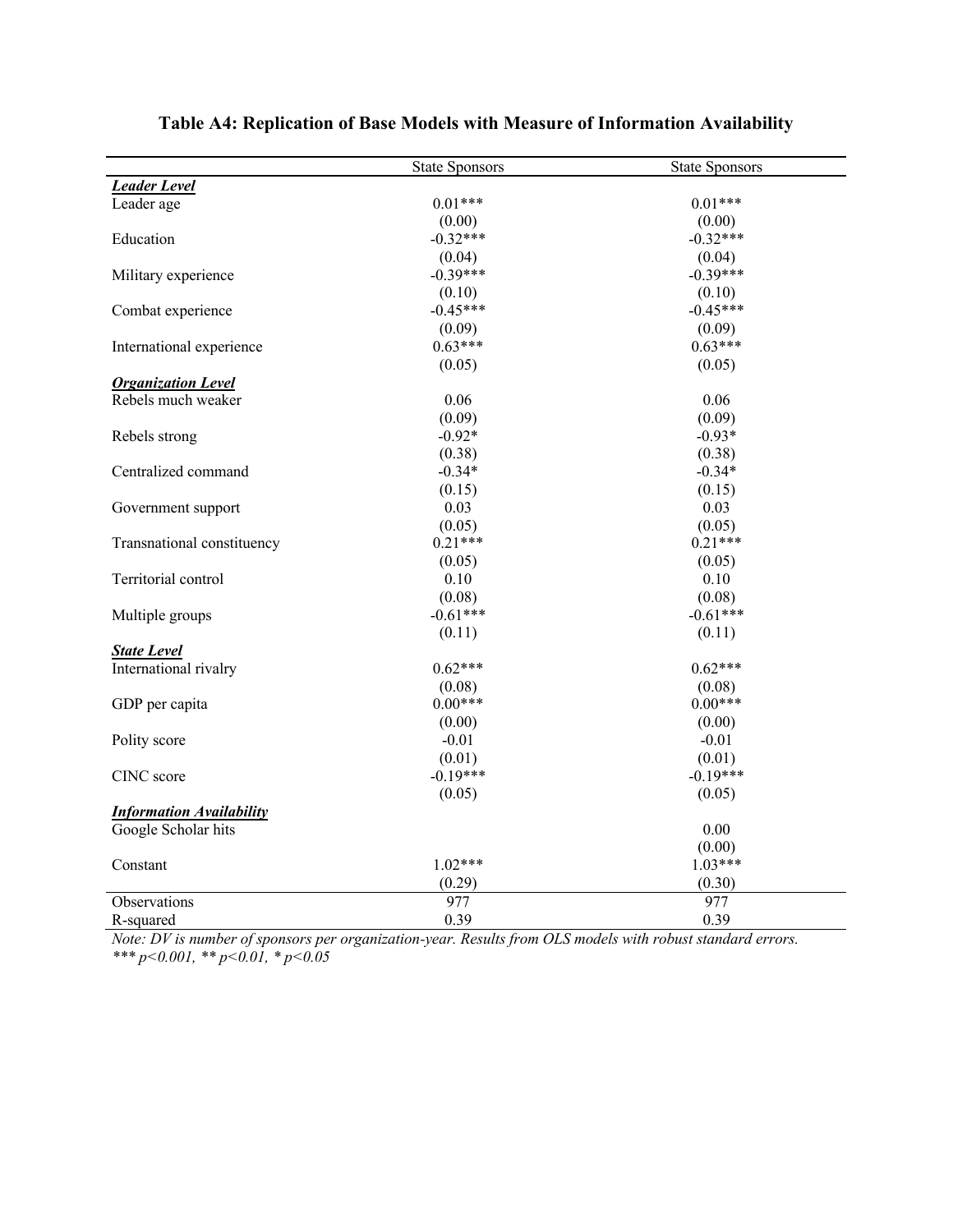|                                 | <b>State Sponsors</b> | <b>State Sponsors</b> |
|---------------------------------|-----------------------|-----------------------|
| <b>Leader Level</b>             |                       |                       |
| Leader age                      | $0.01***$             | $0.01***$             |
|                                 | (0.00)                | (0.00)                |
| Education                       | $-0.32***$            | $-0.32***$            |
|                                 | (0.04)                | (0.04)                |
| Military experience             | $-0.39***$            | $-0.39***$            |
|                                 | (0.10)                | (0.10)                |
| Combat experience               | $-0.45***$            | $-0.45***$            |
|                                 | (0.09)                | (0.09)                |
| International experience        | $0.63***$             | $0.63***$             |
|                                 | (0.05)                | (0.05)                |
| <b>Organization Level</b>       |                       |                       |
| Rebels much weaker              | 0.06                  | 0.06                  |
|                                 | (0.09)                | (0.09)                |
| Rebels strong                   | $-0.92*$              | $-0.93*$              |
|                                 | (0.38)                | (0.38)                |
| Centralized command             | $-0.34*$              | $-0.34*$              |
|                                 | (0.15)                | (0.15)                |
| Government support              | 0.03                  | 0.03                  |
|                                 | (0.05)                | (0.05)                |
| Transnational constituency      | $0.21***$             | $0.21***$             |
|                                 | (0.05)                | (0.05)                |
| Territorial control             | 0.10                  | 0.10                  |
|                                 | (0.08)                | (0.08)                |
| Multiple groups                 | $-0.61***$            | $-0.61***$            |
|                                 | (0.11)                | (0.11)                |
| <b>State Level</b>              |                       |                       |
| International rivalry           | $0.62***$             | $0.62***$             |
|                                 | (0.08)                | (0.08)                |
| GDP per capita                  | $0.00***$             | $0.00***$             |
|                                 | (0.00)                | (0.00)                |
| Polity score                    | $-0.01$               | $-0.01$               |
|                                 | (0.01)                | (0.01)                |
| CINC score                      | $-0.19***$            | $-0.19***$            |
|                                 | (0.05)                | (0.05)                |
| <b>Information Availability</b> |                       |                       |
| Google Scholar hits             |                       | 0.00                  |
|                                 |                       | (0.00)                |
| Constant                        | $1.02***$             | $1.03***$             |
|                                 | (0.29)                | (0.30)                |
| Observations                    | 977                   | 977                   |
| R-squared                       | 0.39                  | 0.39                  |

## **Table A4: Replication of Base Models with Measure of Information Availability**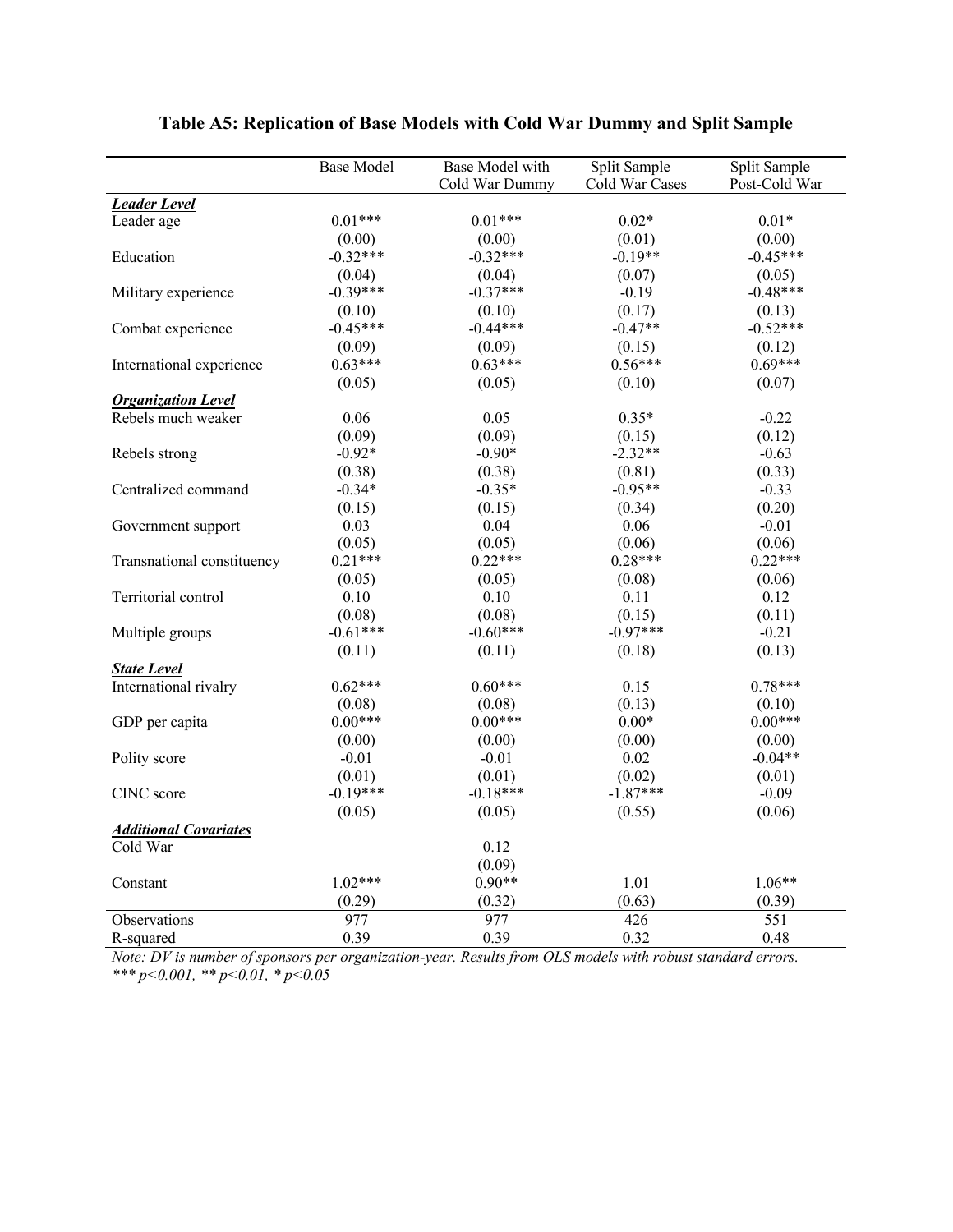|                              | <b>Base Model</b> | Base Model with | Split Sample - | Split Sample - |
|------------------------------|-------------------|-----------------|----------------|----------------|
|                              |                   | Cold War Dummy  | Cold War Cases | Post-Cold War  |
| <b>Leader Level</b>          |                   |                 |                |                |
| Leader age                   | $0.01***$         | $0.01***$       | $0.02*$        | $0.01*$        |
|                              | (0.00)            | (0.00)          | (0.01)         | (0.00)         |
| Education                    | $-0.32***$        | $-0.32***$      | $-0.19**$      | $-0.45***$     |
|                              | (0.04)            | (0.04)          | (0.07)         | (0.05)         |
| Military experience          | $-0.39***$        | $-0.37***$      | $-0.19$        | $-0.48***$     |
|                              | (0.10)            | (0.10)          | (0.17)         | (0.13)         |
| Combat experience            | $-0.45***$        | $-0.44***$      | $-0.47**$      | $-0.52***$     |
|                              | (0.09)            | (0.09)          | (0.15)         | (0.12)         |
| International experience     | $0.63***$         | $0.63***$       | $0.56***$      | $0.69***$      |
|                              | (0.05)            | (0.05)          | (0.10)         | (0.07)         |
| <b>Organization Level</b>    |                   |                 |                |                |
| Rebels much weaker           | 0.06              | 0.05            | $0.35*$        | $-0.22$        |
|                              | (0.09)            | (0.09)          | (0.15)         | (0.12)         |
| Rebels strong                | $-0.92*$          | $-0.90*$        | $-2.32**$      | $-0.63$        |
|                              | (0.38)            | (0.38)          | (0.81)         | (0.33)         |
| Centralized command          | $-0.34*$          | $-0.35*$        | $-0.95**$      | $-0.33$        |
|                              | (0.15)            | (0.15)          | (0.34)         | (0.20)         |
| Government support           | 0.03              | 0.04            | 0.06           | $-0.01$        |
|                              | (0.05)            | (0.05)          | (0.06)         | (0.06)         |
| Transnational constituency   | $0.21***$         | $0.22***$       | $0.28***$      | $0.22***$      |
|                              | (0.05)            | (0.05)          | (0.08)         | (0.06)         |
| Territorial control          | 0.10              | 0.10            | 0.11           | 0.12           |
|                              | (0.08)            | (0.08)          | (0.15)         | (0.11)         |
| Multiple groups              | $-0.61***$        | $-0.60***$      | $-0.97***$     | $-0.21$        |
|                              | (0.11)            | (0.11)          | (0.18)         | (0.13)         |
| <b>State Level</b>           |                   |                 |                |                |
| International rivalry        | $0.62***$         | $0.60***$       | 0.15           | $0.78***$      |
|                              | (0.08)            | (0.08)          | (0.13)         | (0.10)         |
| GDP per capita               | $0.00***$         | $0.00***$       | $0.00*$        | $0.00***$      |
|                              | (0.00)            | (0.00)          | (0.00)         | (0.00)         |
| Polity score                 | $-0.01$           | $-0.01$         | 0.02           | $-0.04**$      |
|                              | (0.01)            | (0.01)          | (0.02)         | (0.01)         |
| CINC score                   | $-0.19***$        | $-0.18***$      | $-1.87***$     | $-0.09$        |
|                              | (0.05)            | (0.05)          | (0.55)         | (0.06)         |
| <b>Additional Covariates</b> |                   |                 |                |                |
| Cold War                     |                   | 0.12            |                |                |
|                              |                   | (0.09)          |                |                |
| Constant                     | $1.02***$         | $0.90**$        | 1.01           | $1.06**$       |
|                              | (0.29)            | (0.32)          | (0.63)         | (0.39)         |
| Observations                 | 977               | 977             | 426            | 551            |
| R-squared                    | 0.39              | 0.39            | 0.32           | 0.48           |

## **Table A5: Replication of Base Models with Cold War Dummy and Split Sample**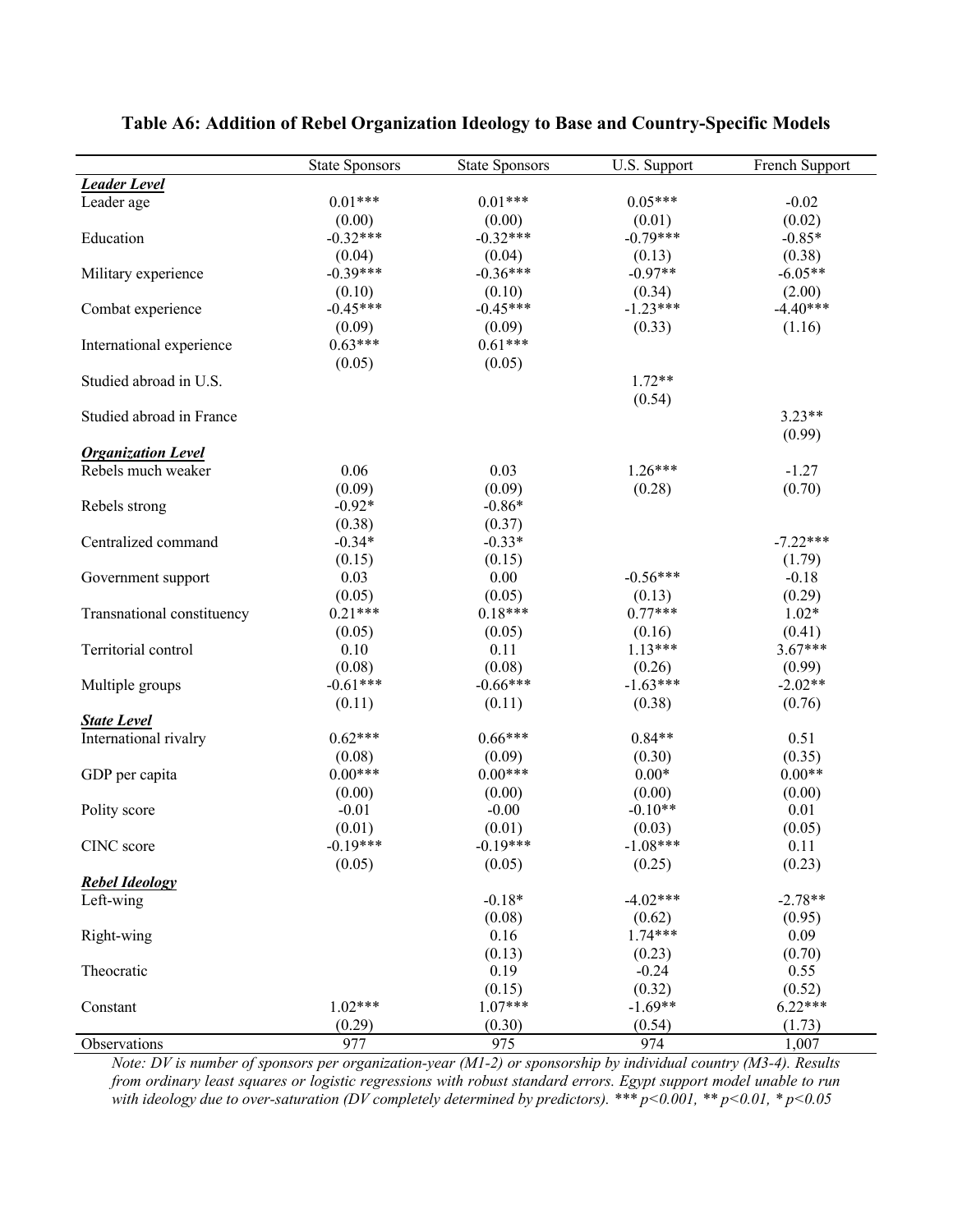|                            | <b>State Sponsors</b> | <b>State Sponsors</b> | U.S. Support | French Support      |
|----------------------------|-----------------------|-----------------------|--------------|---------------------|
| <b>Leader Level</b>        |                       |                       |              |                     |
| Leader age                 | $0.01***$             | $0.01***$             | $0.05***$    | $-0.02$             |
|                            | (0.00)                | (0.00)                | (0.01)       | (0.02)              |
| Education                  | $-0.32***$            | $-0.32***$            | $-0.79***$   | $-0.85*$            |
|                            | (0.04)                | (0.04)                | (0.13)       | (0.38)              |
| Military experience        | $-0.39***$            | $-0.36***$            | $-0.97**$    | $-6.05**$           |
|                            | (0.10)                | (0.10)                | (0.34)       | (2.00)              |
| Combat experience          | $-0.45***$            | $-0.45***$            | $-1.23***$   | $-4.40***$          |
|                            | (0.09)                | (0.09)                | (0.33)       | (1.16)              |
| International experience   | $0.63***$             | $0.61***$             |              |                     |
|                            | (0.05)                | (0.05)                |              |                     |
| Studied abroad in U.S.     |                       |                       | $1.72**$     |                     |
|                            |                       |                       | (0.54)       |                     |
| Studied abroad in France   |                       |                       |              | $3.23**$            |
|                            |                       |                       |              | (0.99)              |
| <b>Organization Level</b>  |                       |                       |              |                     |
| Rebels much weaker         | 0.06                  | 0.03                  | $1.26***$    | $-1.27$             |
|                            | (0.09)                | (0.09)                | (0.28)       | (0.70)              |
| Rebels strong              | $-0.92*$              | $-0.86*$              |              |                     |
|                            | (0.38)                | (0.37)                |              |                     |
| Centralized command        | $-0.34*$              | $-0.33*$              |              | $-7.22***$          |
|                            | (0.15)                | (0.15)                |              | (1.79)              |
| Government support         | 0.03                  | 0.00                  | $-0.56***$   | $-0.18$             |
|                            | (0.05)                | (0.05)                | (0.13)       | (0.29)              |
| Transnational constituency | $0.21***$             | $0.18***$             | $0.77***$    | $1.02*$             |
|                            | (0.05)                | (0.05)                | (0.16)       | (0.41)              |
| Territorial control        | 0.10                  | 0.11                  | $1.13***$    | $3.67***$           |
|                            | (0.08)                | (0.08)                | (0.26)       | (0.99)              |
|                            | $-0.61***$            | $-0.66***$            | $-1.63***$   | $-2.02**$           |
| Multiple groups            | (0.11)                | (0.11)                | (0.38)       | (0.76)              |
| <b>State Level</b>         |                       |                       |              |                     |
| International rivalry      | $0.62***$             | $0.66***$             | $0.84**$     | 0.51                |
|                            | (0.08)                | (0.09)                | (0.30)       | (0.35)              |
| GDP per capita             | $0.00***$             | $0.00***$             | $0.00*$      | $0.00**$            |
|                            | (0.00)                | (0.00)                | (0.00)       | (0.00)              |
| Polity score               | $-0.01$               | $-0.00$               | $-0.10**$    | 0.01                |
|                            | (0.01)                | (0.01)                | (0.03)       | (0.05)              |
| CINC score                 | $-0.19***$            | $-0.19***$            | $-1.08***$   | 0.11                |
|                            | (0.05)                | (0.05)                | (0.25)       | (0.23)              |
| <b>Rebel Ideology</b>      |                       |                       |              |                     |
| Left-wing                  |                       | $-0.18*$              | $-4.02***$   | $-2.78**$           |
|                            |                       | (0.08)                | (0.62)       | (0.95)              |
| Right-wing                 |                       | 0.16                  | $1.74***$    | 0.09                |
|                            |                       | (0.13)                | (0.23)       | (0.70)              |
|                            |                       | 0.19                  | $-0.24$      | 0.55                |
| Theocratic                 |                       |                       | (0.32)       |                     |
|                            | $1.02***$             | (0.15)<br>$1.07***$   | $-1.69**$    | (0.52)<br>$6.22***$ |
| Constant                   |                       |                       |              |                     |
|                            | (0.29)                | (0.30)                | (0.54)       | (1.73)              |
| Observations               | 977                   | 975                   | 974          | 1,007               |

#### **Table A6: Addition of Rebel Organization Ideology to Base and Country-Specific Models**

*Note: DV is number of sponsors per organization-year (M1-2) or sponsorship by individual country (M3-4). Results from ordinary least squares or logistic regressions with robust standard errors. Egypt support model unable to run with ideology due to over-saturation (DV completely determined by predictors). \*\*\* p<0.001, \*\* p<0.01, \* p<0.05*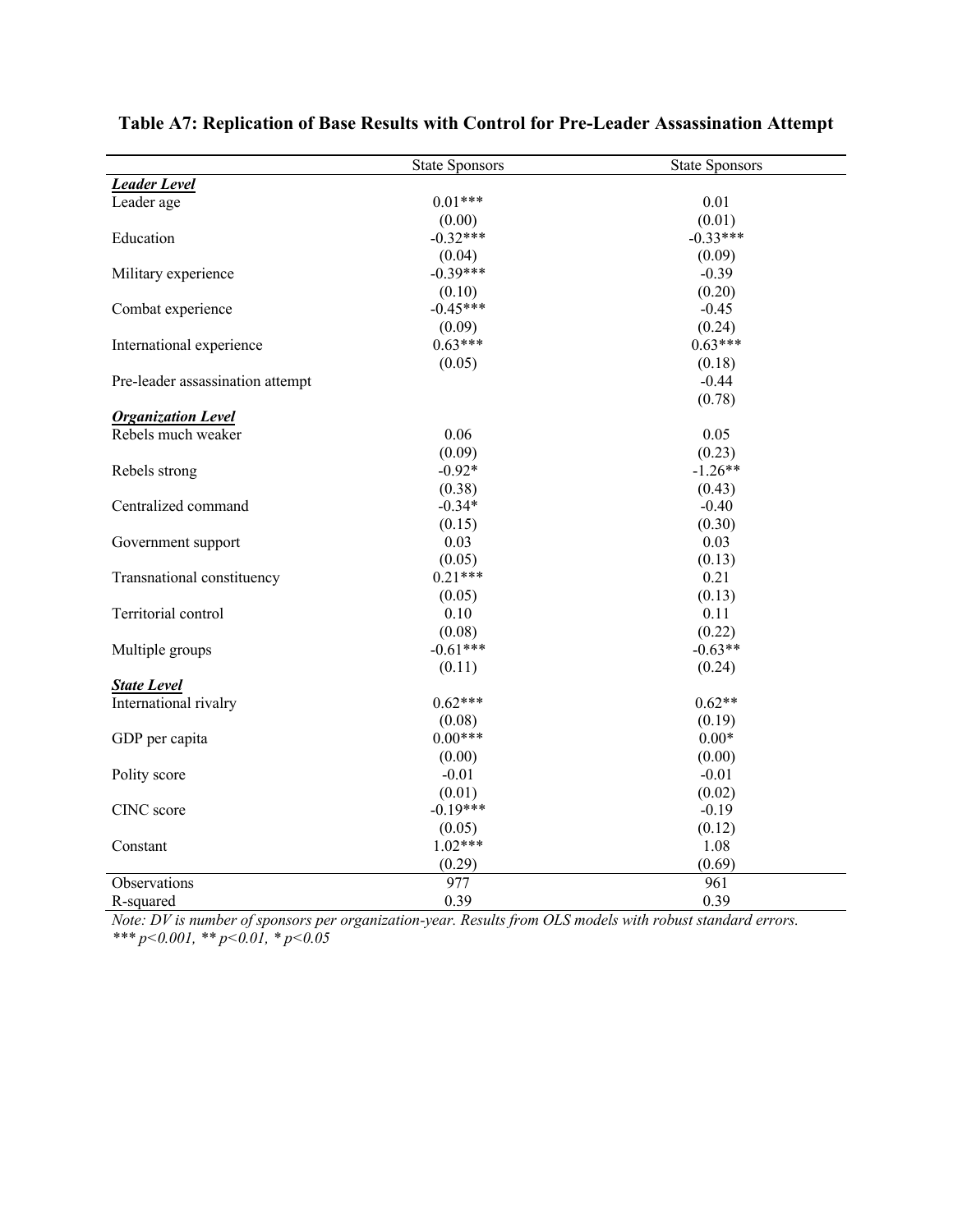|                                  | <b>State Sponsors</b> | <b>State Sponsors</b> |
|----------------------------------|-----------------------|-----------------------|
| <b>Leader Level</b>              |                       |                       |
| Leader age                       | $0.01***$             | 0.01                  |
|                                  | (0.00)                | (0.01)                |
| Education                        | $-0.32***$            | $-0.33***$            |
|                                  | (0.04)                | (0.09)                |
| Military experience              | $-0.39***$            | $-0.39$               |
|                                  | (0.10)                | (0.20)                |
| Combat experience                | $-0.45***$            | $-0.45$               |
|                                  | (0.09)                | (0.24)                |
| International experience         | $0.63***$             | $0.63***$             |
|                                  | (0.05)                | (0.18)                |
| Pre-leader assassination attempt |                       | $-0.44$               |
|                                  |                       | (0.78)                |
| <b>Organization Level</b>        |                       |                       |
| Rebels much weaker               | 0.06                  | 0.05                  |
|                                  | (0.09)                | (0.23)                |
| Rebels strong                    | $-0.92*$              | $-1.26**$             |
|                                  | (0.38)                | (0.43)                |
| Centralized command              | $-0.34*$              | $-0.40$               |
|                                  | (0.15)                | (0.30)                |
| Government support               | 0.03                  | 0.03                  |
|                                  | (0.05)                | (0.13)                |
| Transnational constituency       | $0.21***$             | 0.21                  |
|                                  | (0.05)                | (0.13)                |
| Territorial control              | 0.10                  | 0.11                  |
|                                  | (0.08)                | (0.22)                |
| Multiple groups                  | $-0.61***$            | $-0.63**$             |
|                                  | (0.11)                | (0.24)                |
| <b>State Level</b>               |                       |                       |
| International rivalry            | $0.62***$             | $0.62**$              |
|                                  | (0.08)                | (0.19)                |
| GDP per capita                   | $0.00***$             | $0.00*$               |
|                                  | (0.00)                | (0.00)                |
| Polity score                     | $-0.01$               | $-0.01$               |
|                                  | (0.01)                | (0.02)                |
| CINC score                       | $-0.19***$            | $-0.19$               |
|                                  | (0.05)                | (0.12)                |
| Constant                         | $1.02***$             | 1.08                  |
|                                  | (0.29)                | (0.69)                |
| Observations                     | 977                   | 961                   |
| R-squared                        | 0.39                  | 0.39                  |

#### **Table A7: Replication of Base Results with Control for Pre-Leader Assassination Attempt**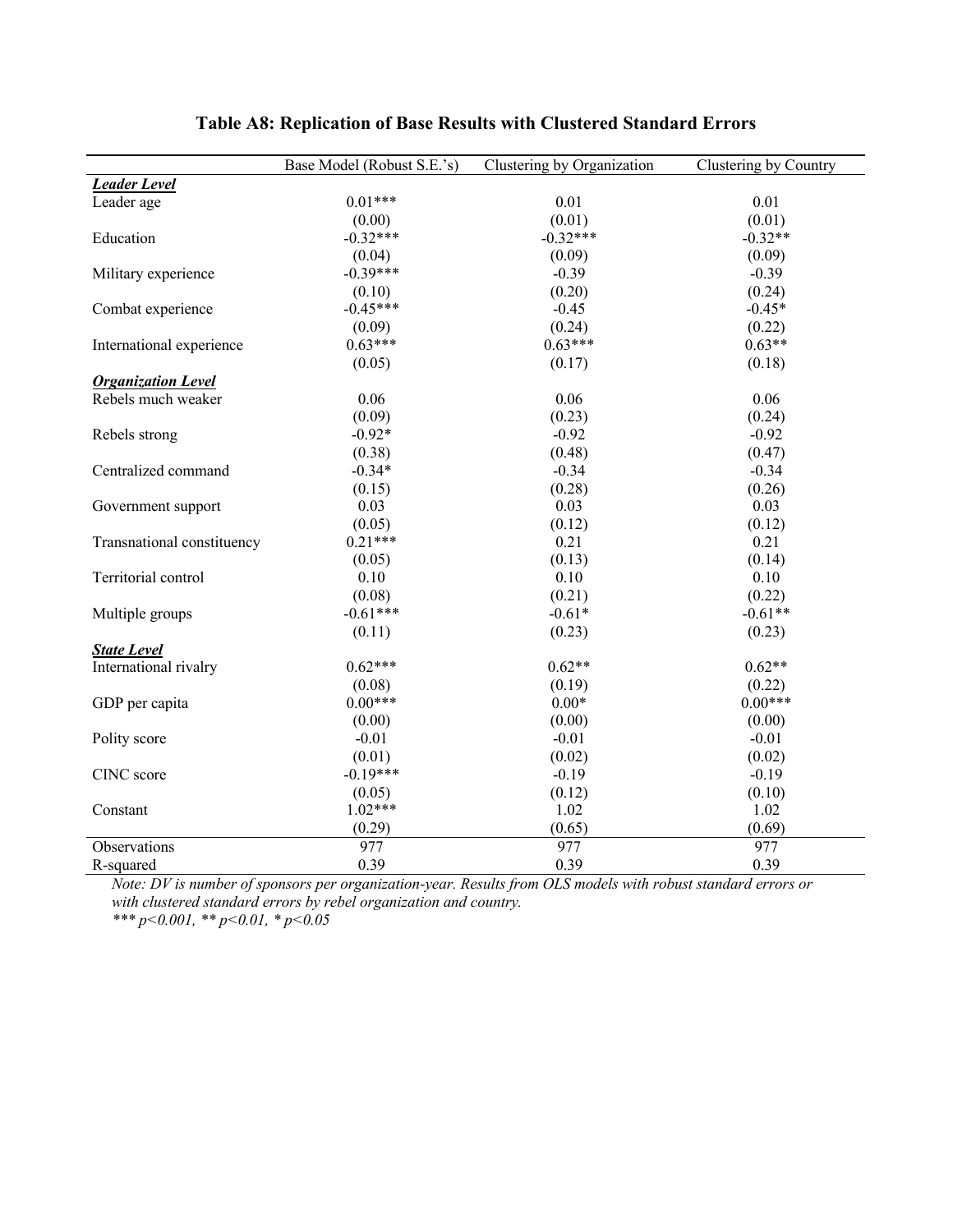|                            | Base Model (Robust S.E.'s) | Clustering by Organization | Clustering by Country |
|----------------------------|----------------------------|----------------------------|-----------------------|
| <b>Leader Level</b>        |                            |                            |                       |
| Leader age                 | $0.01***$                  | 0.01                       | 0.01                  |
|                            | (0.00)                     | (0.01)                     | (0.01)                |
| Education                  | $-0.32***$                 | $-0.32***$                 | $-0.32**$             |
|                            | (0.04)                     | (0.09)                     | (0.09)                |
| Military experience        | $-0.39***$                 | $-0.39$                    | $-0.39$               |
|                            | (0.10)                     | (0.20)                     | (0.24)                |
| Combat experience          | $-0.45***$                 | $-0.45$                    | $-0.45*$              |
|                            | (0.09)                     | (0.24)                     | (0.22)                |
| International experience   | $0.63***$                  | $0.63***$                  | $0.63**$              |
|                            | (0.05)                     | (0.17)                     | (0.18)                |
| <b>Organization Level</b>  |                            |                            |                       |
| Rebels much weaker         | 0.06                       | 0.06                       | 0.06                  |
|                            | (0.09)                     | (0.23)                     | (0.24)                |
| Rebels strong              | $-0.92*$                   | $-0.92$                    | $-0.92$               |
|                            | (0.38)                     | (0.48)                     | (0.47)                |
| Centralized command        | $-0.34*$                   | $-0.34$                    | $-0.34$               |
|                            | (0.15)                     | (0.28)                     | (0.26)                |
| Government support         | 0.03                       | 0.03                       | 0.03                  |
|                            | (0.05)                     | (0.12)                     | (0.12)                |
| Transnational constituency | $0.21***$                  | 0.21                       | 0.21                  |
|                            | (0.05)                     | (0.13)                     | (0.14)                |
| Territorial control        | 0.10                       | 0.10                       | 0.10                  |
|                            | (0.08)                     | (0.21)                     | (0.22)                |
| Multiple groups            | $-0.61***$                 | $-0.61*$                   | $-0.61**$             |
|                            | (0.11)                     | (0.23)                     | (0.23)                |
| <b>State Level</b>         |                            |                            |                       |
| International rivalry      | $0.62***$                  | $0.62**$                   | $0.62**$              |
|                            | (0.08)                     | (0.19)                     | (0.22)                |
| GDP per capita             | $0.00***$                  | $0.00*$                    | $0.00***$             |
|                            | (0.00)                     | (0.00)                     | (0.00)                |
| Polity score               | $-0.01$                    | $-0.01$                    | $-0.01$               |
|                            | (0.01)                     | (0.02)                     | (0.02)                |
| CINC score                 | $-0.19***$                 | $-0.19$                    | $-0.19$               |
|                            | (0.05)                     | (0.12)                     | (0.10)                |
| Constant                   | $1.02***$                  | 1.02                       | 1.02                  |
|                            | (0.29)                     | (0.65)                     | (0.69)                |
| Observations               | 977                        | 977                        | 977                   |
| R-squared                  | 0.39                       | 0.39                       | 0.39                  |

#### **Table A8: Replication of Base Results with Clustered Standard Errors**

*Note: DV is number of sponsors per organization-year. Results from OLS models with robust standard errors or with clustered standard errors by rebel organization and country.*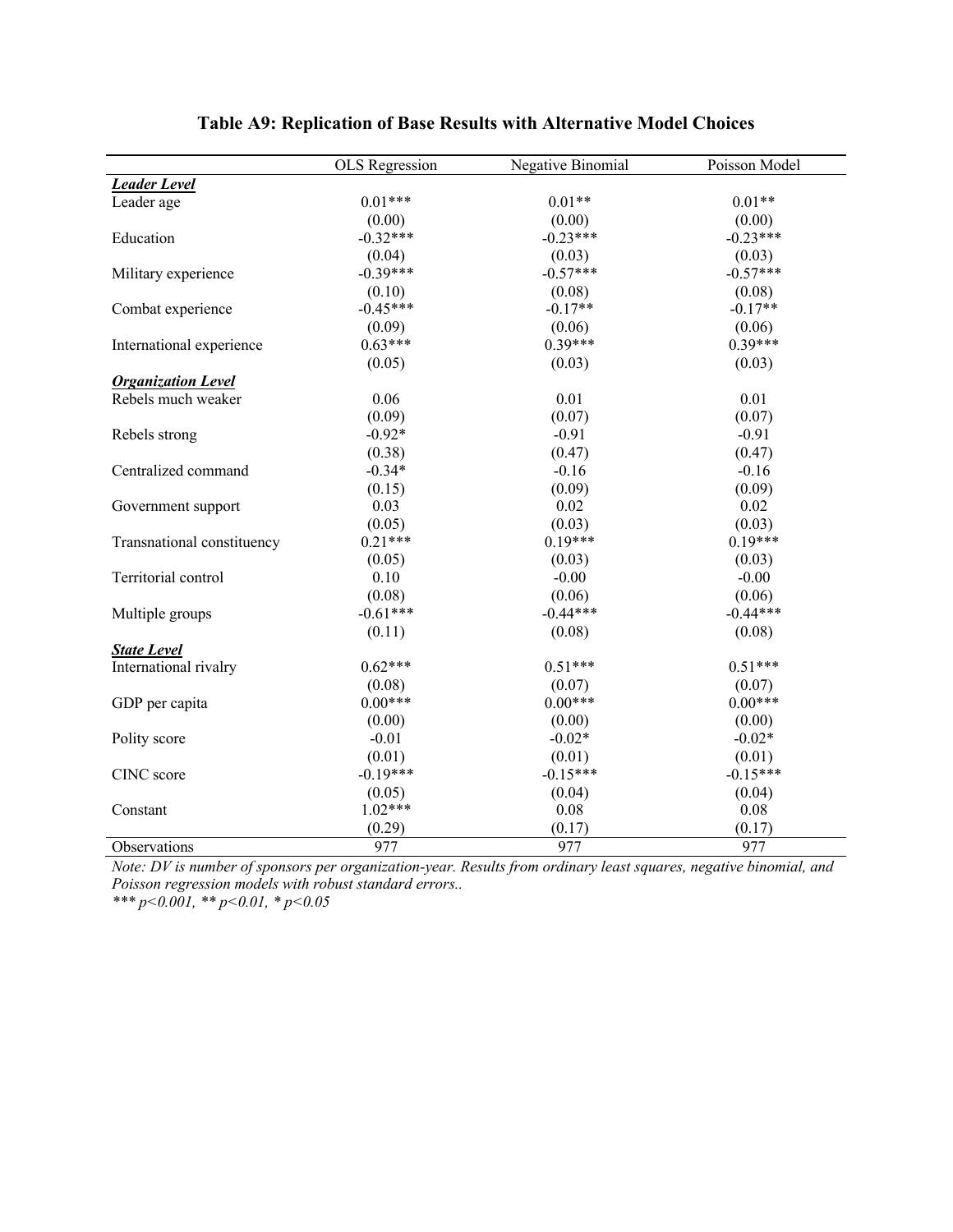|                            | <b>OLS</b> Regression | Negative Binomial | Poisson Model |
|----------------------------|-----------------------|-------------------|---------------|
| <b>Leader Level</b>        |                       |                   |               |
| Leader age                 | $0.01***$             | $0.01**$          | $0.01**$      |
|                            | (0.00)                | (0.00)            | (0.00)        |
| Education                  | $-0.32***$            | $-0.23***$        | $-0.23***$    |
|                            | (0.04)                | (0.03)            | (0.03)        |
| Military experience        | $-0.39***$            | $-0.57***$        | $-0.57***$    |
|                            | (0.10)                | (0.08)            | (0.08)        |
| Combat experience          | $-0.45***$            | $-0.17**$         | $-0.17**$     |
|                            | (0.09)                | (0.06)            | (0.06)        |
| International experience   | $0.63***$             | $0.39***$         | $0.39***$     |
|                            | (0.05)                | (0.03)            | (0.03)        |
| <b>Organization Level</b>  |                       |                   |               |
| Rebels much weaker         | 0.06                  | 0.01              | 0.01          |
|                            | (0.09)                | (0.07)            | (0.07)        |
| Rebels strong              | $-0.92*$              | $-0.91$           | $-0.91$       |
|                            | (0.38)                | (0.47)            | (0.47)        |
| Centralized command        | $-0.34*$              | $-0.16$           | $-0.16$       |
|                            | (0.15)                | (0.09)            | (0.09)        |
| Government support         | 0.03                  | 0.02              | 0.02          |
|                            | (0.05)                | (0.03)            | (0.03)        |
| Transnational constituency | $0.21***$             | $0.19***$         | $0.19***$     |
|                            | (0.05)                | (0.03)            | (0.03)        |
| Territorial control        | 0.10                  | $-0.00$           | $-0.00$       |
|                            | (0.08)                | (0.06)            | (0.06)        |
| Multiple groups            | $-0.61***$            | $-0.44***$        | $-0.44***$    |
|                            | (0.11)                | (0.08)            | (0.08)        |
| <b>State Level</b>         |                       |                   |               |
| International rivalry      | $0.62***$             | $0.51***$         | $0.51***$     |
|                            | (0.08)                | (0.07)            | (0.07)        |
| GDP per capita             | $0.00***$             | $0.00***$         | $0.00***$     |
|                            | (0.00)                | (0.00)            | (0.00)        |
| Polity score               | $-0.01$               | $-0.02*$          | $-0.02*$      |
|                            | (0.01)                | (0.01)            | (0.01)        |
| CINC score                 | $-0.19***$            | $-0.15***$        | $-0.15***$    |
|                            | (0.05)                | (0.04)            | (0.04)        |
| Constant                   | $1.02***$             | 0.08              | 0.08          |
|                            | (0.29)                | (0.17)            | (0.17)        |
| Observations               | 977                   | 977               | 977           |

#### **Table A9: Replication of Base Results with Alternative Model Choices**

*Note: DV is number of sponsors per organization-year. Results from ordinary least squares, negative binomial, and Poisson regression models with robust standard errors..*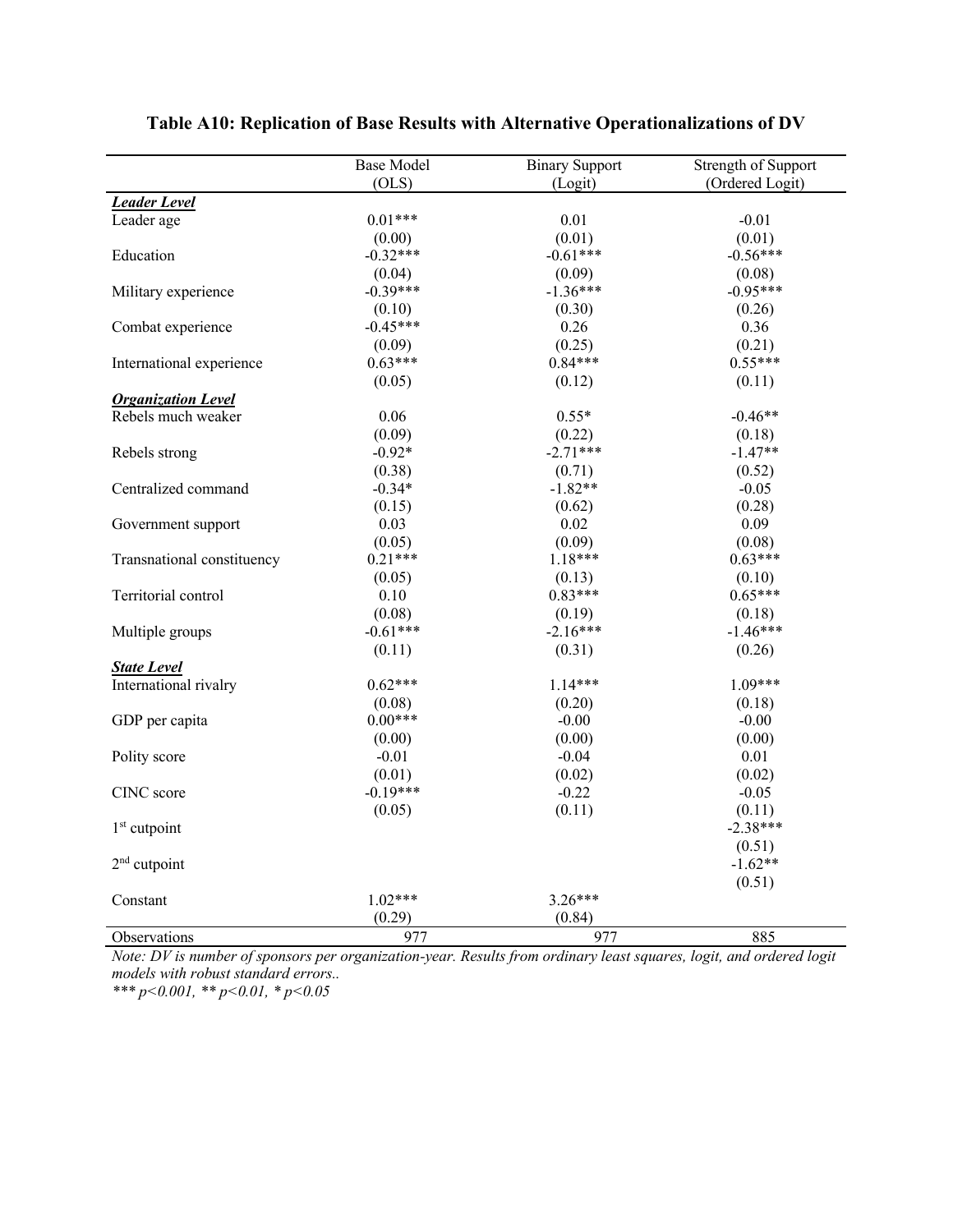|                            | <b>Base Model</b>   | <b>Binary Support</b> | Strength of Support |
|----------------------------|---------------------|-----------------------|---------------------|
|                            | (OLS)               | (Logit)               | (Ordered Logit)     |
| <b>Leader Level</b>        |                     |                       |                     |
| Leader age                 | $0.01***$           | 0.01                  | $-0.01$             |
|                            | (0.00)              | (0.01)                | (0.01)              |
| Education                  | $-0.32***$          | $-0.61***$            | $-0.56***$          |
|                            | (0.04)              | (0.09)                | (0.08)              |
| Military experience        | $-0.39***$          | $-1.36***$            | $-0.95***$          |
|                            | (0.10)              | (0.30)                | (0.26)              |
| Combat experience          | $-0.45***$          | 0.26                  | 0.36                |
|                            | (0.09)              | (0.25)                | (0.21)              |
| International experience   | $0.63***$           | $0.84***$             | $0.55***$           |
|                            | (0.05)              | (0.12)                | (0.11)              |
| <b>Organization Level</b>  |                     |                       |                     |
| Rebels much weaker         | 0.06                | $0.55*$               | $-0.46**$           |
|                            | (0.09)              | (0.22)                | (0.18)              |
| Rebels strong              | $-0.92*$            | $-2.71***$            | $-1.47**$           |
|                            | (0.38)              | (0.71)                | (0.52)              |
| Centralized command        | $-0.34*$            | $-1.82**$             | $-0.05$             |
|                            | (0.15)              | (0.62)                | (0.28)              |
| Government support         | 0.03                | 0.02                  | 0.09                |
|                            | (0.05)              | (0.09)                | (0.08)              |
| Transnational constituency | $0.21***$           | $1.18***$             | $0.63***$           |
|                            | (0.05)              | (0.13)                | (0.10)              |
| Territorial control        | $0.10\,$            | $0.83***$             | $0.65***$           |
|                            | (0.08)              | (0.19)                | (0.18)              |
| Multiple groups            | $-0.61***$          | $-2.16***$            | $-1.46***$          |
|                            | (0.11)              | (0.31)                | (0.26)              |
| <b>State Level</b>         |                     |                       |                     |
| International rivalry      | $0.62***$           | $1.14***$             | $1.09***$           |
|                            | (0.08)              | (0.20)                | (0.18)              |
| GDP per capita             | $0.00***$           | $-0.00$               | $-0.00$             |
|                            | (0.00)              | (0.00)                | (0.00)              |
| Polity score               | $-0.01$             | $-0.04$               | 0.01                |
|                            | (0.01)              | (0.02)                | (0.02)              |
| CINC score                 | $-0.19***$          | $-0.22$               | $-0.05$             |
|                            | (0.05)              | (0.11)                | (0.11)              |
| $1st$ cutpoint             |                     |                       | $-2.38***$          |
|                            |                     |                       | (0.51)              |
| $2nd$ cutpoint             |                     |                       | $-1.62**$           |
|                            |                     |                       | (0.51)              |
| Constant                   | $1.02***$<br>(0.29) | $3.26***$             |                     |
|                            |                     | (0.84)                |                     |
| Observations               | 977                 | 977                   | 885                 |

### **Table A10: Replication of Base Results with Alternative Operationalizations of DV**

*Note: DV is number of sponsors per organization-year. Results from ordinary least squares, logit, and ordered logit models with robust standard errors..*